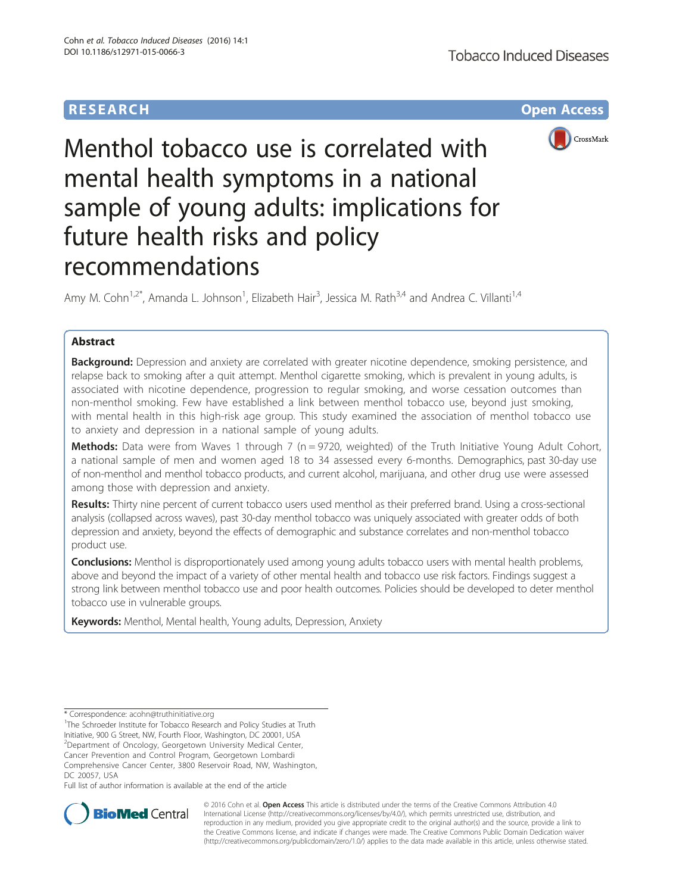## **RESEARCH CHE Open Access**



# Menthol tobacco use is correlated with mental health symptoms in a national sample of young adults: implications for future health risks and policy recommendations

Amy M. Cohn<sup>1,2\*</sup>, Amanda L. Johnson<sup>1</sup>, Elizabeth Hair<sup>3</sup>, Jessica M. Rath<sup>3,4</sup> and Andrea C. Villanti<sup>1,4</sup>

## Abstract

Background: Depression and anxiety are correlated with greater nicotine dependence, smoking persistence, and relapse back to smoking after a quit attempt. Menthol cigarette smoking, which is prevalent in young adults, is associated with nicotine dependence, progression to regular smoking, and worse cessation outcomes than non-menthol smoking. Few have established a link between menthol tobacco use, beyond just smoking, with mental health in this high-risk age group. This study examined the association of menthol tobacco use to anxiety and depression in a national sample of young adults.

**Methods:** Data were from Waves 1 through 7 ( $n = 9720$ , weighted) of the Truth Initiative Young Adult Cohort, a national sample of men and women aged 18 to 34 assessed every 6-months. Demographics, past 30-day use of non-menthol and menthol tobacco products, and current alcohol, marijuana, and other drug use were assessed among those with depression and anxiety.

Results: Thirty nine percent of current tobacco users used menthol as their preferred brand. Using a cross-sectional analysis (collapsed across waves), past 30-day menthol tobacco was uniquely associated with greater odds of both depression and anxiety, beyond the effects of demographic and substance correlates and non-menthol tobacco product use.

**Conclusions:** Menthol is disproportionately used among young adults tobacco users with mental health problems, above and beyond the impact of a variety of other mental health and tobacco use risk factors. Findings suggest a strong link between menthol tobacco use and poor health outcomes. Policies should be developed to deter menthol tobacco use in vulnerable groups.

Keywords: Menthol, Mental health, Young adults, Depression, Anxiety

DC 20057, USA

Full list of author information is available at the end of the article



© 2016 Cohn et al. Open Access This article is distributed under the terms of the Creative Commons Attribution 4.0 International License [\(http://creativecommons.org/licenses/by/4.0/](http://creativecommons.org/licenses/by/4.0/)), which permits unrestricted use, distribution, and reproduction in any medium, provided you give appropriate credit to the original author(s) and the source, provide a link to the Creative Commons license, and indicate if changes were made. The Creative Commons Public Domain Dedication waiver [\(http://creativecommons.org/publicdomain/zero/1.0/](http://creativecommons.org/publicdomain/zero/1.0/)) applies to the data made available in this article, unless otherwise stated.

<sup>\*</sup> Correspondence: [acohn@truthinitiative.org](mailto:acohn@truthinitiative.org) <sup>1</sup>

<sup>&</sup>lt;sup>1</sup>The Schroeder Institute for Tobacco Research and Policy Studies at Truth Initiative, 900 G Street, NW, Fourth Floor, Washington, DC 20001, USA <sup>2</sup>Department of Oncology, Georgetown University Medical Center, Cancer Prevention and Control Program, Georgetown Lombardi Comprehensive Cancer Center, 3800 Reservoir Road, NW, Washington,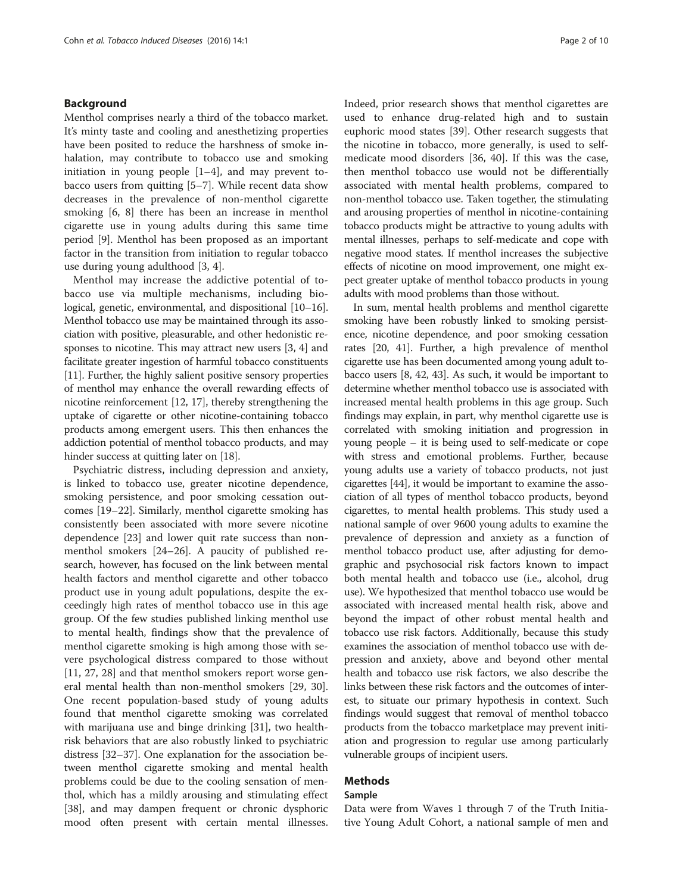## Background

Menthol comprises nearly a third of the tobacco market. It's minty taste and cooling and anesthetizing properties have been posited to reduce the harshness of smoke inhalation, may contribute to tobacco use and smoking initiation in young people  $[1-4]$  $[1-4]$  $[1-4]$  $[1-4]$  $[1-4]$ , and may prevent tobacco users from quitting [\[5](#page-8-0)–[7](#page-8-0)]. While recent data show decreases in the prevalence of non-menthol cigarette smoking [\[6](#page-8-0), [8\]](#page-8-0) there has been an increase in menthol cigarette use in young adults during this same time period [[9\]](#page-8-0). Menthol has been proposed as an important factor in the transition from initiation to regular tobacco use during young adulthood [\[3](#page-8-0), [4](#page-8-0)].

Menthol may increase the addictive potential of tobacco use via multiple mechanisms, including biological, genetic, environmental, and dispositional [\[10](#page-8-0)–[16](#page-8-0)]. Menthol tobacco use may be maintained through its association with positive, pleasurable, and other hedonistic responses to nicotine. This may attract new users [[3, 4\]](#page-8-0) and facilitate greater ingestion of harmful tobacco constituents [[11](#page-8-0)]. Further, the highly salient positive sensory properties of menthol may enhance the overall rewarding effects of nicotine reinforcement [[12](#page-8-0), [17\]](#page-8-0), thereby strengthening the uptake of cigarette or other nicotine-containing tobacco products among emergent users. This then enhances the addiction potential of menthol tobacco products, and may hinder success at quitting later on [[18](#page-8-0)].

Psychiatric distress, including depression and anxiety, is linked to tobacco use, greater nicotine dependence, smoking persistence, and poor smoking cessation outcomes [[19](#page-8-0)–[22](#page-8-0)]. Similarly, menthol cigarette smoking has consistently been associated with more severe nicotine dependence [\[23](#page-8-0)] and lower quit rate success than nonmenthol smokers [\[24](#page-8-0)–[26\]](#page-8-0). A paucity of published research, however, has focused on the link between mental health factors and menthol cigarette and other tobacco product use in young adult populations, despite the exceedingly high rates of menthol tobacco use in this age group. Of the few studies published linking menthol use to mental health, findings show that the prevalence of menthol cigarette smoking is high among those with severe psychological distress compared to those without [[11, 27, 28\]](#page-8-0) and that menthol smokers report worse general mental health than non-menthol smokers [\[29](#page-8-0), [30](#page-8-0)]. One recent population-based study of young adults found that menthol cigarette smoking was correlated with marijuana use and binge drinking [[31](#page-8-0)], two healthrisk behaviors that are also robustly linked to psychiatric distress [\[32](#page-8-0)–[37\]](#page-9-0). One explanation for the association between menthol cigarette smoking and mental health problems could be due to the cooling sensation of menthol, which has a mildly arousing and stimulating effect [[38\]](#page-9-0), and may dampen frequent or chronic dysphoric mood often present with certain mental illnesses.

Indeed, prior research shows that menthol cigarettes are used to enhance drug-related high and to sustain euphoric mood states [[39\]](#page-9-0). Other research suggests that the nicotine in tobacco, more generally, is used to selfmedicate mood disorders [\[36,](#page-8-0) [40](#page-9-0)]. If this was the case, then menthol tobacco use would not be differentially associated with mental health problems, compared to non-menthol tobacco use. Taken together, the stimulating and arousing properties of menthol in nicotine-containing tobacco products might be attractive to young adults with mental illnesses, perhaps to self-medicate and cope with negative mood states. If menthol increases the subjective effects of nicotine on mood improvement, one might expect greater uptake of menthol tobacco products in young adults with mood problems than those without.

In sum, mental health problems and menthol cigarette smoking have been robustly linked to smoking persistence, nicotine dependence, and poor smoking cessation rates [[20](#page-8-0), [41](#page-9-0)]. Further, a high prevalence of menthol cigarette use has been documented among young adult tobacco users [[8](#page-8-0), [42](#page-9-0), [43](#page-9-0)]. As such, it would be important to determine whether menthol tobacco use is associated with increased mental health problems in this age group. Such findings may explain, in part, why menthol cigarette use is correlated with smoking initiation and progression in young people – it is being used to self-medicate or cope with stress and emotional problems. Further, because young adults use a variety of tobacco products, not just cigarettes [\[44\]](#page-9-0), it would be important to examine the association of all types of menthol tobacco products, beyond cigarettes, to mental health problems. This study used a national sample of over 9600 young adults to examine the prevalence of depression and anxiety as a function of menthol tobacco product use, after adjusting for demographic and psychosocial risk factors known to impact both mental health and tobacco use (i.e., alcohol, drug use). We hypothesized that menthol tobacco use would be associated with increased mental health risk, above and beyond the impact of other robust mental health and tobacco use risk factors. Additionally, because this study examines the association of menthol tobacco use with depression and anxiety, above and beyond other mental health and tobacco use risk factors, we also describe the links between these risk factors and the outcomes of interest, to situate our primary hypothesis in context. Such findings would suggest that removal of menthol tobacco products from the tobacco marketplace may prevent initiation and progression to regular use among particularly vulnerable groups of incipient users.

## Methods

## Sample

Data were from Waves 1 through 7 of the Truth Initiative Young Adult Cohort, a national sample of men and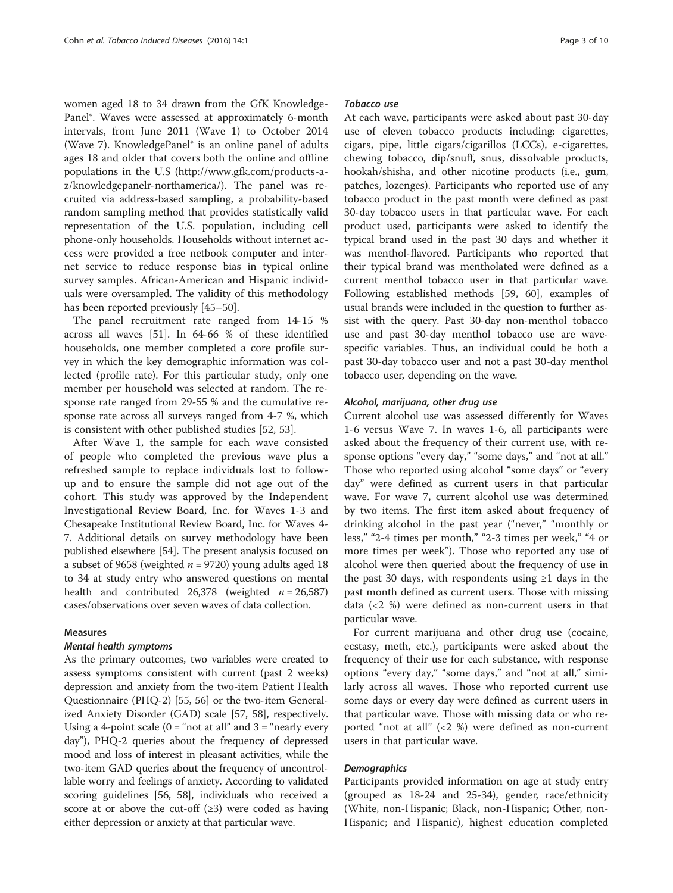women aged 18 to 34 drawn from the GfK Knowledge-Panel®. Waves were assessed at approximately 6-month intervals, from June 2011 (Wave 1) to October 2014 (Wave 7). KnowledgePanel® is an online panel of adults ages 18 and older that covers both the online and offline populations in the U.S ([http://www.gfk.com/products-a](http://www.gfk.com/products-a-z/knowledgepanelr-northamerica/)[z/knowledgepanelr-northamerica/](http://www.gfk.com/products-a-z/knowledgepanelr-northamerica/)). The panel was recruited via address-based sampling, a probability-based random sampling method that provides statistically valid representation of the U.S. population, including cell phone-only households. Households without internet access were provided a free netbook computer and internet service to reduce response bias in typical online survey samples. African-American and Hispanic individuals were oversampled. The validity of this methodology has been reported previously [\[45](#page-9-0)–[50\]](#page-9-0).

The panel recruitment rate ranged from 14-15 % across all waves [\[51](#page-9-0)]. In 64-66 % of these identified households, one member completed a core profile survey in which the key demographic information was collected (profile rate). For this particular study, only one member per household was selected at random. The response rate ranged from 29-55 % and the cumulative response rate across all surveys ranged from 4-7 %, which is consistent with other published studies [\[52](#page-9-0), [53](#page-9-0)].

After Wave 1, the sample for each wave consisted of people who completed the previous wave plus a refreshed sample to replace individuals lost to followup and to ensure the sample did not age out of the cohort. This study was approved by the Independent Investigational Review Board, Inc. for Waves 1-3 and Chesapeake Institutional Review Board, Inc. for Waves 4- 7. Additional details on survey methodology have been published elsewhere [[54](#page-9-0)]. The present analysis focused on a subset of 9658 (weighted  $n = 9720$ ) young adults aged 18 to 34 at study entry who answered questions on mental health and contributed  $26,378$  (weighted  $n = 26,587$ ) cases/observations over seven waves of data collection.

#### Measures

## Mental health symptoms

As the primary outcomes, two variables were created to assess symptoms consistent with current (past 2 weeks) depression and anxiety from the two-item Patient Health Questionnaire (PHQ-2) [[55](#page-9-0), [56](#page-9-0)] or the two-item Generalized Anxiety Disorder (GAD) scale [[57](#page-9-0), [58\]](#page-9-0), respectively. Using a 4-point scale  $(0 = "not at all" and 3 = "nearly every$ day"), PHQ-2 queries about the frequency of depressed mood and loss of interest in pleasant activities, while the two-item GAD queries about the frequency of uncontrollable worry and feelings of anxiety. According to validated scoring guidelines [[56](#page-9-0), [58](#page-9-0)], individuals who received a score at or above the cut-off  $(\geq 3)$  were coded as having either depression or anxiety at that particular wave.

#### Tobacco use

At each wave, participants were asked about past 30-day use of eleven tobacco products including: cigarettes, cigars, pipe, little cigars/cigarillos (LCCs), e-cigarettes, chewing tobacco, dip/snuff, snus, dissolvable products, hookah/shisha, and other nicotine products (i.e., gum, patches, lozenges). Participants who reported use of any tobacco product in the past month were defined as past 30-day tobacco users in that particular wave. For each product used, participants were asked to identify the typical brand used in the past 30 days and whether it was menthol-flavored. Participants who reported that their typical brand was mentholated were defined as a current menthol tobacco user in that particular wave. Following established methods [[59, 60\]](#page-9-0), examples of usual brands were included in the question to further assist with the query. Past 30-day non-menthol tobacco use and past 30-day menthol tobacco use are wavespecific variables. Thus, an individual could be both a past 30-day tobacco user and not a past 30-day menthol tobacco user, depending on the wave.

## Alcohol, marijuana, other drug use

Current alcohol use was assessed differently for Waves 1-6 versus Wave 7. In waves 1-6, all participants were asked about the frequency of their current use, with response options "every day," "some days," and "not at all." Those who reported using alcohol "some days" or "every day" were defined as current users in that particular wave. For wave 7, current alcohol use was determined by two items. The first item asked about frequency of drinking alcohol in the past year ("never," "monthly or less," "2-4 times per month," "2-3 times per week," "4 or more times per week"). Those who reported any use of alcohol were then queried about the frequency of use in the past 30 days, with respondents using ≥1 days in the past month defined as current users. Those with missing data (<2 %) were defined as non-current users in that particular wave.

For current marijuana and other drug use (cocaine, ecstasy, meth, etc.), participants were asked about the frequency of their use for each substance, with response options "every day," "some days," and "not at all," similarly across all waves. Those who reported current use some days or every day were defined as current users in that particular wave. Those with missing data or who reported "not at all" (<2 %) were defined as non-current users in that particular wave.

## **Demographics**

Participants provided information on age at study entry (grouped as 18-24 and 25-34), gender, race/ethnicity (White, non-Hispanic; Black, non-Hispanic; Other, non-Hispanic; and Hispanic), highest education completed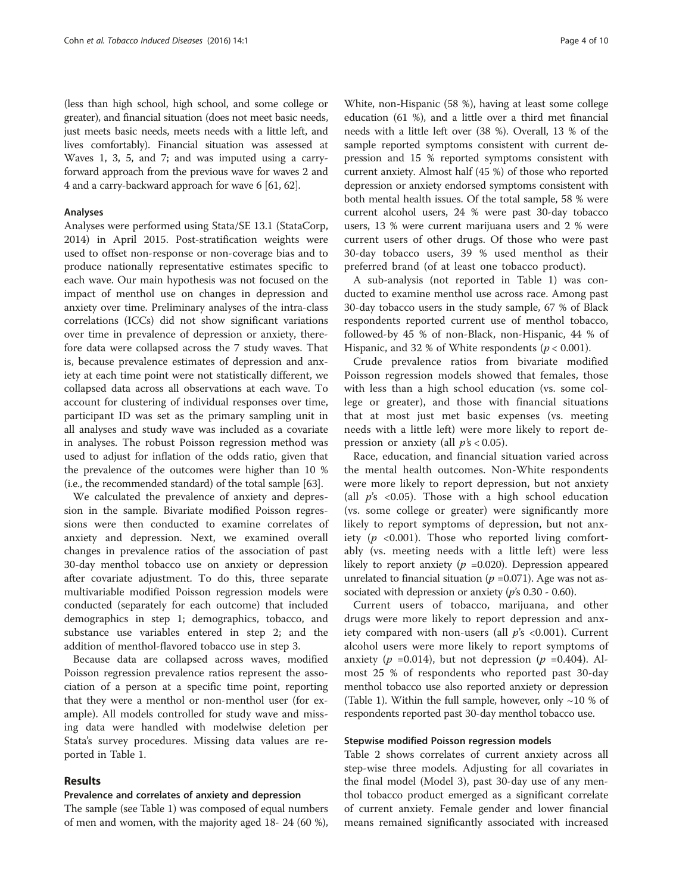(less than high school, high school, and some college or greater), and financial situation (does not meet basic needs, just meets basic needs, meets needs with a little left, and lives comfortably). Financial situation was assessed at Waves 1, 3, 5, and 7; and was imputed using a carryforward approach from the previous wave for waves 2 and 4 and a carry-backward approach for wave 6 [\[61, 62\]](#page-9-0).

## Analyses

Analyses were performed using Stata/SE 13.1 (StataCorp, 2014) in April 2015. Post-stratification weights were used to offset non-response or non-coverage bias and to produce nationally representative estimates specific to each wave. Our main hypothesis was not focused on the impact of menthol use on changes in depression and anxiety over time. Preliminary analyses of the intra-class correlations (ICCs) did not show significant variations over time in prevalence of depression or anxiety, therefore data were collapsed across the 7 study waves. That is, because prevalence estimates of depression and anxiety at each time point were not statistically different, we collapsed data across all observations at each wave. To account for clustering of individual responses over time, participant ID was set as the primary sampling unit in all analyses and study wave was included as a covariate in analyses. The robust Poisson regression method was used to adjust for inflation of the odds ratio, given that the prevalence of the outcomes were higher than 10 % (i.e., the recommended standard) of the total sample [\[63\]](#page-9-0).

We calculated the prevalence of anxiety and depression in the sample. Bivariate modified Poisson regressions were then conducted to examine correlates of anxiety and depression. Next, we examined overall changes in prevalence ratios of the association of past 30-day menthol tobacco use on anxiety or depression after covariate adjustment. To do this, three separate multivariable modified Poisson regression models were conducted (separately for each outcome) that included demographics in step 1; demographics, tobacco, and substance use variables entered in step 2; and the addition of menthol-flavored tobacco use in step 3.

Because data are collapsed across waves, modified Poisson regression prevalence ratios represent the association of a person at a specific time point, reporting that they were a menthol or non-menthol user (for example). All models controlled for study wave and missing data were handled with modelwise deletion per Stata's survey procedures. Missing data values are reported in Table [1](#page-4-0).

## Results

## Prevalence and correlates of anxiety and depression

The sample (see Table [1](#page-4-0)) was composed of equal numbers of men and women, with the majority aged 18- 24 (60 %),

White, non-Hispanic (58 %), having at least some college education (61 %), and a little over a third met financial needs with a little left over (38 %). Overall, 13 % of the sample reported symptoms consistent with current depression and 15 % reported symptoms consistent with current anxiety. Almost half (45 %) of those who reported depression or anxiety endorsed symptoms consistent with both mental health issues. Of the total sample, 58 % were current alcohol users, 24 % were past 30-day tobacco users, 13 % were current marijuana users and 2 % were current users of other drugs. Of those who were past 30-day tobacco users, 39 % used menthol as their preferred brand (of at least one tobacco product).

A sub-analysis (not reported in Table [1](#page-4-0)) was conducted to examine menthol use across race. Among past 30-day tobacco users in the study sample, 67 % of Black respondents reported current use of menthol tobacco, followed-by 45 % of non-Black, non-Hispanic, 44 % of Hispanic, and 32 % of White respondents ( $p < 0.001$ ).

Crude prevalence ratios from bivariate modified Poisson regression models showed that females, those with less than a high school education (vs. some college or greater), and those with financial situations that at most just met basic expenses (vs. meeting needs with a little left) were more likely to report depression or anxiety (all  $p's < 0.05$ ).

Race, education, and financial situation varied across the mental health outcomes. Non-White respondents were more likely to report depression, but not anxiety (all  $p's$  <0.05). Those with a high school education (vs. some college or greater) were significantly more likely to report symptoms of depression, but not anxiety ( $p \le 0.001$ ). Those who reported living comfortably (vs. meeting needs with a little left) were less likely to report anxiety ( $p = 0.020$ ). Depression appeared unrelated to financial situation ( $p = 0.071$ ). Age was not associated with depression or anxiety ( $p$ 's 0.30 - 0.60).

Current users of tobacco, marijuana, and other drugs were more likely to report depression and anxiety compared with non-users (all  $p's < 0.001$ ). Current alcohol users were more likely to report symptoms of anxiety ( $p = 0.014$ ), but not depression ( $p = 0.404$ ). Almost 25 % of respondents who reported past 30-day menthol tobacco use also reported anxiety or depression (Table [1\)](#page-4-0). Within the full sample, however, only  $\sim$  10 % of respondents reported past 30-day menthol tobacco use.

## Stepwise modified Poisson regression models

Table [2](#page-5-0) shows correlates of current anxiety across all step-wise three models. Adjusting for all covariates in the final model (Model 3), past 30-day use of any menthol tobacco product emerged as a significant correlate of current anxiety. Female gender and lower financial means remained significantly associated with increased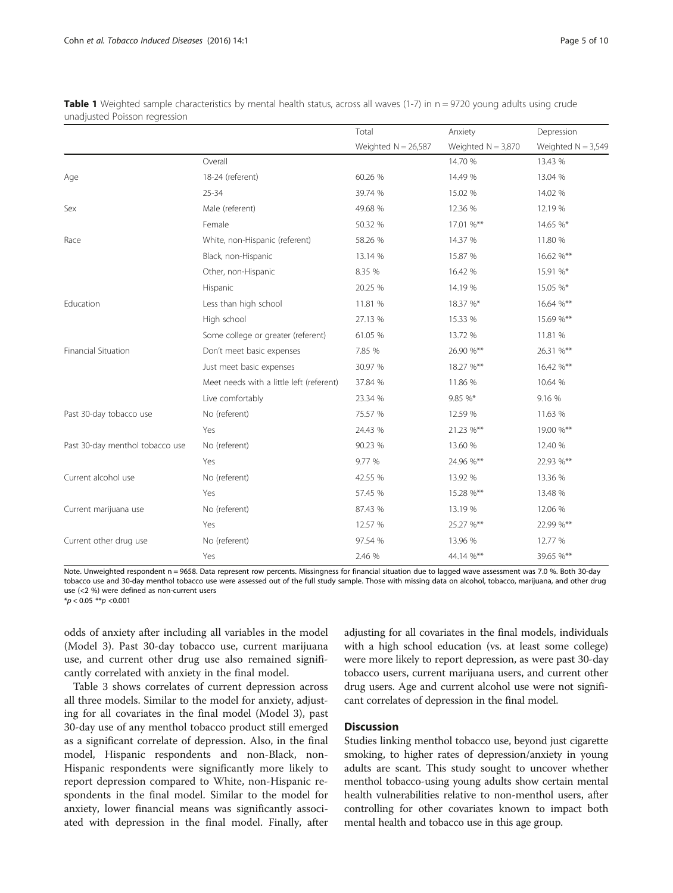|                                 |                                          | Total                 | Anxiety              | Depression           |
|---------------------------------|------------------------------------------|-----------------------|----------------------|----------------------|
|                                 |                                          | Weighted $N = 26,587$ | Weighted $N = 3,870$ | Weighted $N = 3,549$ |
|                                 | Overall                                  |                       | 14.70 %              | 13.43 %              |
| Age                             | 18-24 (referent)                         | 60.26 %               | 14.49 %              | 13.04 %              |
|                                 | $25 - 34$                                | 39.74 %               | 15.02 %              | 14.02 %              |
| Sex                             | Male (referent)                          | 49.68 %               | 12.36 %              | 12.19 %              |
|                                 | Female                                   | 50.32 %               | 17.01 %**            | 14.65 %*             |
| Race                            | White, non-Hispanic (referent)           | 58.26 %               | 14.37 %              | 11.80 %              |
|                                 | Black, non-Hispanic                      | 13.14 %               | 15.87 %              | 16.62 %**            |
|                                 | Other, non-Hispanic                      | 8.35 %                | 16.42 %              | 15.91 %*             |
|                                 | Hispanic                                 | 20.25 %               | 14.19 %              | 15.05 %*             |
| Education                       | Less than high school                    | 11.81 %               | 18.37 %*             | 16.64 %**            |
|                                 | High school                              | 27.13 %               | 15.33 %              | 15.69 %**            |
|                                 | Some college or greater (referent)       | 61.05 %               | 13.72 %              | 11.81 %              |
| Financial Situation             | Don't meet basic expenses                | 7.85 %                | 26.90 %**            | 26.31 %**            |
|                                 | Just meet basic expenses                 | 30.97 %               | 18.27 %**            | 16.42 %**            |
|                                 | Meet needs with a little left (referent) | 37.84 %               | 11.86 %              | 10.64 %              |
|                                 | Live comfortably                         | 23.34 %               | 9.85 %*              | 9.16 %               |
| Past 30-day tobacco use         | No (referent)                            | 75.57 %               | 12.59 %              | 11.63 %              |
|                                 | Yes                                      | 24.43 %               | 21.23 %**            | 19.00 %**            |
| Past 30-day menthol tobacco use | No (referent)                            | 90.23 %               | 13.60 %              | 12.40 %              |
|                                 | Yes                                      | 9.77 %                | 24.96 %**            | 22.93 %**            |
| Current alcohol use             | No (referent)                            | 42.55 %               | 13.92 %              | 13.36 %              |
|                                 | Yes                                      | 57.45 %               | 15.28 %**            | 13.48 %              |
| Current marijuana use           | No (referent)                            | 87.43 %               | 13.19 %              | 12.06 %              |
|                                 | Yes                                      | 12.57 %               | 25.27 %**            | 22.99 %**            |
| Current other drug use          | No (referent)                            | 97.54 %               | 13.96 %              | 12.77 %              |
|                                 | Yes                                      | 2.46 %                | 44.14 %**            | 39.65 %**            |

<span id="page-4-0"></span>Table 1 Weighted sample characteristics by mental health status, across all waves (1-7) in  $n = 9720$  young adults using crude unadjusted Poisson regression

Note. Unweighted respondent n = 9658. Data represent row percents. Missingness for financial situation due to lagged wave assessment was 7.0 %. Both 30-day tobacco use and 30-day menthol tobacco use were assessed out of the full study sample. Those with missing data on alcohol, tobacco, marijuana, and other drug use (<2 %) were defined as non-current users

 $*p < 0.05 **p < 0.001$ 

odds of anxiety after including all variables in the model (Model 3). Past 30-day tobacco use, current marijuana use, and current other drug use also remained significantly correlated with anxiety in the final model.

Table [3](#page-6-0) shows correlates of current depression across all three models. Similar to the model for anxiety, adjusting for all covariates in the final model (Model 3), past 30-day use of any menthol tobacco product still emerged as a significant correlate of depression. Also, in the final model, Hispanic respondents and non-Black, non-Hispanic respondents were significantly more likely to report depression compared to White, non-Hispanic respondents in the final model. Similar to the model for anxiety, lower financial means was significantly associated with depression in the final model. Finally, after

adjusting for all covariates in the final models, individuals with a high school education (vs. at least some college) were more likely to report depression, as were past 30-day tobacco users, current marijuana users, and current other drug users. Age and current alcohol use were not significant correlates of depression in the final model.

## **Discussion**

Studies linking menthol tobacco use, beyond just cigarette smoking, to higher rates of depression/anxiety in young adults are scant. This study sought to uncover whether menthol tobacco-using young adults show certain mental health vulnerabilities relative to non-menthol users, after controlling for other covariates known to impact both mental health and tobacco use in this age group.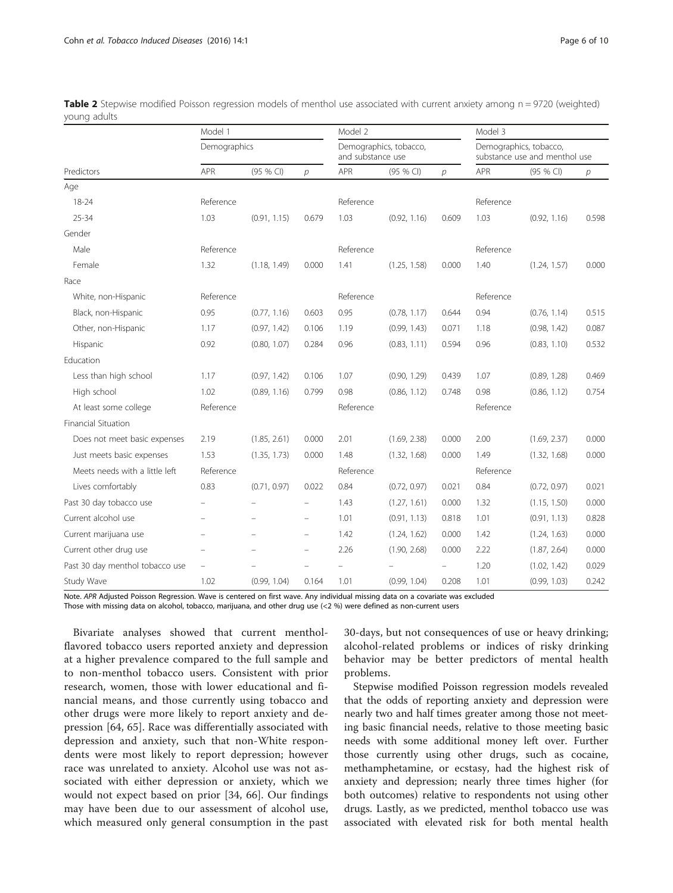|                                 | Model 1<br>Demographics  |              |                          | Model 2<br>Demographics, tobacco,<br>and substance use |              |                          | Model 3<br>Demographics, tobacco,<br>substance use and menthol use |              |       |
|---------------------------------|--------------------------|--------------|--------------------------|--------------------------------------------------------|--------------|--------------------------|--------------------------------------------------------------------|--------------|-------|
|                                 |                          |              |                          |                                                        |              |                          |                                                                    |              |       |
| Predictors                      | APR                      | (95 % CI)    | $\mathcal{D}$            | APR                                                    | (95 % CI)    | $\overline{p}$           | APR                                                                | (95 % CI)    | р     |
| Age                             |                          |              |                          |                                                        |              |                          |                                                                    |              |       |
| 18-24                           | Reference                |              |                          | Reference                                              |              |                          | Reference                                                          |              |       |
| $25 - 34$                       | 1.03                     | (0.91, 1.15) | 0.679                    | 1.03                                                   | (0.92, 1.16) | 0.609                    | 1.03                                                               | (0.92, 1.16) | 0.598 |
| Gender                          |                          |              |                          |                                                        |              |                          |                                                                    |              |       |
| Male                            | Reference                |              |                          | Reference                                              |              |                          | Reference                                                          |              |       |
| Female                          | 1.32                     | (1.18, 1.49) | 0.000                    | 1.41                                                   | (1.25, 1.58) | 0.000                    | 1.40                                                               | (1.24, 1.57) | 0.000 |
| Race                            |                          |              |                          |                                                        |              |                          |                                                                    |              |       |
| White, non-Hispanic             | Reference                |              |                          | Reference                                              |              |                          | Reference                                                          |              |       |
| Black, non-Hispanic             | 0.95                     | (0.77, 1.16) | 0.603                    | 0.95                                                   | (0.78, 1.17) | 0.644                    | 0.94                                                               | (0.76, 1.14) | 0.515 |
| Other, non-Hispanic             | 1.17                     | (0.97, 1.42) | 0.106                    | 1.19                                                   | (0.99, 1.43) | 0.071                    | 1.18                                                               | (0.98, 1.42) | 0.087 |
| Hispanic                        | 0.92                     | (0.80, 1.07) | 0.284                    | 0.96                                                   | (0.83, 1.11) | 0.594                    | 0.96                                                               | (0.83, 1.10) | 0.532 |
| Education                       |                          |              |                          |                                                        |              |                          |                                                                    |              |       |
| Less than high school           | 1.17                     | (0.97, 1.42) | 0.106                    | 1.07                                                   | (0.90, 1.29) | 0.439                    | 1.07                                                               | (0.89, 1.28) | 0.469 |
| High school                     | 1.02                     | (0.89, 1.16) | 0.799                    | 0.98                                                   | (0.86, 1.12) | 0.748                    | 0.98                                                               | (0.86, 1.12) | 0.754 |
| At least some college           | Reference                |              |                          | Reference                                              |              |                          | Reference                                                          |              |       |
| Financial Situation             |                          |              |                          |                                                        |              |                          |                                                                    |              |       |
| Does not meet basic expenses    | 2.19                     | (1.85, 2.61) | 0.000                    | 2.01                                                   | (1.69, 2.38) | 0.000                    | 2.00                                                               | (1.69, 2.37) | 0.000 |
| Just meets basic expenses       | 1.53                     | (1.35, 1.73) | 0.000                    | 1.48                                                   | (1.32, 1.68) | 0.000                    | 1.49                                                               | (1.32, 1.68) | 0.000 |
| Meets needs with a little left  | Reference                |              |                          | Reference                                              |              |                          | Reference                                                          |              |       |
| Lives comfortably               | 0.83                     | (0.71, 0.97) | 0.022                    | 0.84                                                   | (0.72, 0.97) | 0.021                    | 0.84                                                               | (0.72, 0.97) | 0.021 |
| Past 30 day tobacco use         |                          |              | ÷.                       | 1.43                                                   | (1.27, 1.61) | 0.000                    | 1.32                                                               | (1.15, 1.50) | 0.000 |
| Current alcohol use             |                          |              | ÷                        | 1.01                                                   | (0.91, 1.13) | 0.818                    | 1.01                                                               | (0.91, 1.13) | 0.828 |
| Current marijuana use           |                          |              | -                        | 1.42                                                   | (1.24, 1.62) | 0.000                    | 1.42                                                               | (1.24, 1.63) | 0.000 |
| Current other drug use          |                          |              | $\overline{\phantom{0}}$ | 2.26                                                   | (1.90, 2.68) | 0.000                    | 2.22                                                               | (1.87, 2.64) | 0.000 |
| Past 30 day menthol tobacco use | $\overline{\phantom{0}}$ |              |                          |                                                        |              | $\overline{\phantom{a}}$ | 1.20                                                               | (1.02, 1.42) | 0.029 |
| Study Wave                      | 1.02                     | (0.99, 1.04) | 0.164                    | 1.01                                                   | (0.99, 1.04) | 0.208                    | 1.01                                                               | (0.99, 1.03) | 0.242 |

<span id="page-5-0"></span>

| Table 2 Stepwise modified Poisson regression models of menthol use associated with current anxiety among n = 9720 (weighted) |  |  |  |  |
|------------------------------------------------------------------------------------------------------------------------------|--|--|--|--|
| young adults                                                                                                                 |  |  |  |  |

Note. APR Adjusted Poisson Regression. Wave is centered on first wave. Any individual missing data on a covariate was excluded Those with missing data on alcohol, tobacco, marijuana, and other drug use (<2 %) were defined as non-current users

Bivariate analyses showed that current mentholflavored tobacco users reported anxiety and depression at a higher prevalence compared to the full sample and to non-menthol tobacco users. Consistent with prior research, women, those with lower educational and financial means, and those currently using tobacco and other drugs were more likely to report anxiety and depression [[64, 65\]](#page-9-0). Race was differentially associated with depression and anxiety, such that non-White respondents were most likely to report depression; however race was unrelated to anxiety. Alcohol use was not associated with either depression or anxiety, which we would not expect based on prior [\[34](#page-8-0), [66\]](#page-9-0). Our findings may have been due to our assessment of alcohol use, which measured only general consumption in the past 30-days, but not consequences of use or heavy drinking; alcohol-related problems or indices of risky drinking behavior may be better predictors of mental health problems.

Stepwise modified Poisson regression models revealed that the odds of reporting anxiety and depression were nearly two and half times greater among those not meeting basic financial needs, relative to those meeting basic needs with some additional money left over. Further those currently using other drugs, such as cocaine, methamphetamine, or ecstasy, had the highest risk of anxiety and depression; nearly three times higher (for both outcomes) relative to respondents not using other drugs. Lastly, as we predicted, menthol tobacco use was associated with elevated risk for both mental health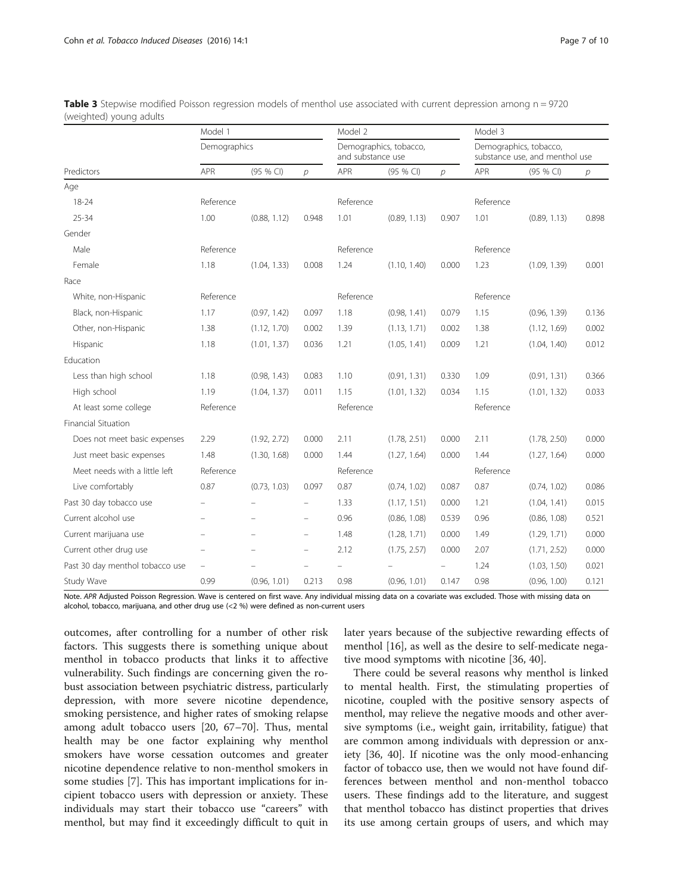|                                 | Model 1<br>Demographics |              |                | Model 2<br>Demographics, tobacco,<br>and substance use |              |                          | Model 3<br>Demographics, tobacco,<br>substance use, and menthol use |              |                |
|---------------------------------|-------------------------|--------------|----------------|--------------------------------------------------------|--------------|--------------------------|---------------------------------------------------------------------|--------------|----------------|
|                                 |                         |              |                |                                                        |              |                          |                                                                     |              |                |
| Predictors                      | APR                     | (95 % CI)    | $\overline{p}$ | APR                                                    | (95 % CI)    | р                        | APR                                                                 | (95 % CI)    | $\overline{p}$ |
| Age                             |                         |              |                |                                                        |              |                          |                                                                     |              |                |
| $18 - 24$                       | Reference               |              |                | Reference                                              |              |                          | Reference                                                           |              |                |
| $25 - 34$                       | 1.00                    | (0.88, 1.12) | 0.948          | 1.01                                                   | (0.89, 1.13) | 0.907                    | 1.01                                                                | (0.89, 1.13) | 0.898          |
| Gender                          |                         |              |                |                                                        |              |                          |                                                                     |              |                |
| Male                            | Reference               |              |                | Reference                                              |              |                          | Reference                                                           |              |                |
| Female                          | 1.18                    | (1.04, 1.33) | 0.008          | 1.24                                                   | (1.10, 1.40) | 0.000                    | 1.23                                                                | (1.09, 1.39) | 0.001          |
| Race                            |                         |              |                |                                                        |              |                          |                                                                     |              |                |
| White, non-Hispanic             | Reference               |              |                | Reference                                              |              |                          | Reference                                                           |              |                |
| Black, non-Hispanic             | 1.17                    | (0.97, 1.42) | 0.097          | 1.18                                                   | (0.98, 1.41) | 0.079                    | 1.15                                                                | (0.96, 1.39) | 0.136          |
| Other, non-Hispanic             | 1.38                    | (1.12, 1.70) | 0.002          | 1.39                                                   | (1.13, 1.71) | 0.002                    | 1.38                                                                | (1.12, 1.69) | 0.002          |
| Hispanic                        | 1.18                    | (1.01, 1.37) | 0.036          | 1.21                                                   | (1.05, 1.41) | 0.009                    | 1.21                                                                | (1.04, 1.40) | 0.012          |
| Education                       |                         |              |                |                                                        |              |                          |                                                                     |              |                |
| Less than high school           | 1.18                    | (0.98, 1.43) | 0.083          | 1.10                                                   | (0.91, 1.31) | 0.330                    | 1.09                                                                | (0.91, 1.31) | 0.366          |
| High school                     | 1.19                    | (1.04, 1.37) | 0.011          | 1.15                                                   | (1.01, 1.32) | 0.034                    | 1.15                                                                | (1.01, 1.32) | 0.033          |
| At least some college           | Reference               |              |                | Reference                                              |              |                          | Reference                                                           |              |                |
| Financial Situation             |                         |              |                |                                                        |              |                          |                                                                     |              |                |
| Does not meet basic expenses    | 2.29                    | (1.92, 2.72) | 0.000          | 2.11                                                   | (1.78, 2.51) | 0.000                    | 2.11                                                                | (1.78, 2.50) | 0.000          |
| Just meet basic expenses        | 1.48                    | (1.30, 1.68) | 0.000          | 1.44                                                   | (1.27, 1.64) | 0.000                    | 1.44                                                                | (1.27, 1.64) | 0.000          |
| Meet needs with a little left   | Reference               |              |                | Reference                                              |              |                          | Reference                                                           |              |                |
| Live comfortably                | 0.87                    | (0.73, 1.03) | 0.097          | 0.87                                                   | (0.74, 1.02) | 0.087                    | 0.87                                                                | (0.74, 1.02) | 0.086          |
| Past 30 day tobacco use         |                         |              | $\frac{1}{2}$  | 1.33                                                   | (1.17, 1.51) | 0.000                    | 1.21                                                                | (1.04, 1.41) | 0.015          |
| Current alcohol use             |                         |              | $\equiv$       | 0.96                                                   | (0.86, 1.08) | 0.539                    | 0.96                                                                | (0.86, 1.08) | 0.521          |
| Current marijuana use           |                         |              | ÷              | 1.48                                                   | (1.28, 1.71) | 0.000                    | 1.49                                                                | (1.29, 1.71) | 0.000          |
| Current other drug use          | $\equiv$                |              | $\frac{1}{2}$  | 2.12                                                   | (1.75, 2.57) | 0.000                    | 2.07                                                                | (1.71, 2.52) | 0.000          |
| Past 30 day menthol tobacco use | $\equiv$                |              |                |                                                        |              | $\overline{\phantom{0}}$ | 1.24                                                                | (1.03, 1.50) | 0.021          |
| Study Wave                      | 0.99                    | (0.96, 1.01) | 0.213          | 0.98                                                   | (0.96, 1.01) | 0.147                    | 0.98                                                                | (0.96, 1.00) | 0.121          |

<span id="page-6-0"></span>

|                         | Table 3 Stepwise modified Poisson regression models of menthol use associated with current depression among n = 9720 |  |  |  |  |
|-------------------------|----------------------------------------------------------------------------------------------------------------------|--|--|--|--|
| (weighted) young adults |                                                                                                                      |  |  |  |  |

Note. APR Adjusted Poisson Regression. Wave is centered on first wave. Any individual missing data on a covariate was excluded. Those with missing data on alcohol, tobacco, marijuana, and other drug use (<2 %) were defined as non-current users

outcomes, after controlling for a number of other risk factors. This suggests there is something unique about menthol in tobacco products that links it to affective vulnerability. Such findings are concerning given the robust association between psychiatric distress, particularly depression, with more severe nicotine dependence, smoking persistence, and higher rates of smoking relapse among adult tobacco users [\[20,](#page-8-0) [67](#page-9-0)–[70\]](#page-9-0). Thus, mental health may be one factor explaining why menthol smokers have worse cessation outcomes and greater nicotine dependence relative to non-menthol smokers in some studies [[7\]](#page-8-0). This has important implications for incipient tobacco users with depression or anxiety. These individuals may start their tobacco use "careers" with menthol, but may find it exceedingly difficult to quit in later years because of the subjective rewarding effects of menthol [\[16\]](#page-8-0), as well as the desire to self-medicate negative mood symptoms with nicotine [[36](#page-8-0), [40](#page-9-0)].

There could be several reasons why menthol is linked to mental health. First, the stimulating properties of nicotine, coupled with the positive sensory aspects of menthol, may relieve the negative moods and other aversive symptoms (i.e., weight gain, irritability, fatigue) that are common among individuals with depression or anxiety [[36,](#page-8-0) [40\]](#page-9-0). If nicotine was the only mood-enhancing factor of tobacco use, then we would not have found differences between menthol and non-menthol tobacco users. These findings add to the literature, and suggest that menthol tobacco has distinct properties that drives its use among certain groups of users, and which may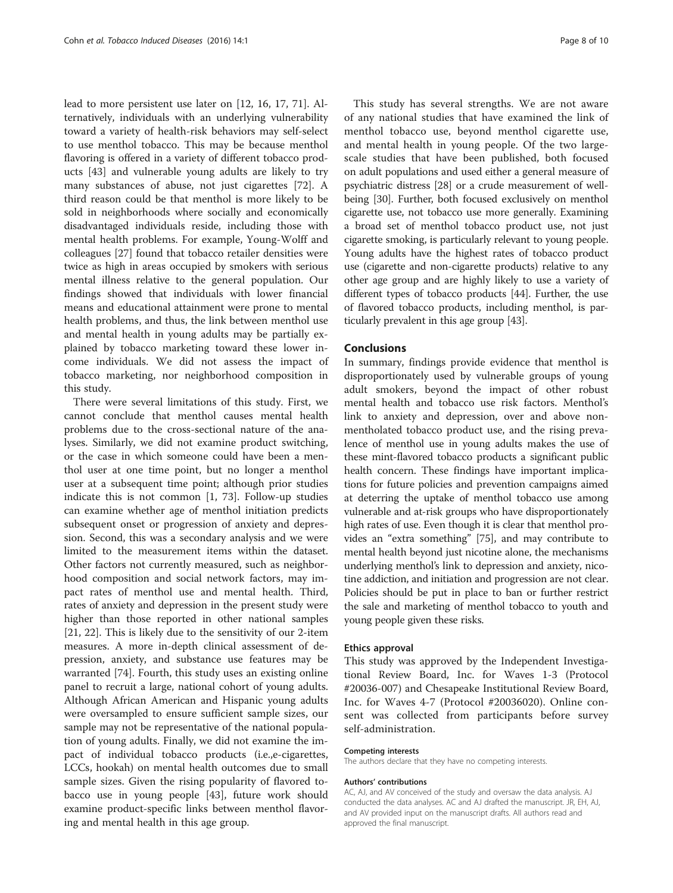lead to more persistent use later on [\[12](#page-8-0), [16, 17](#page-8-0), [71\]](#page-9-0). Alternatively, individuals with an underlying vulnerability toward a variety of health-risk behaviors may self-select to use menthol tobacco. This may be because menthol flavoring is offered in a variety of different tobacco products [\[43\]](#page-9-0) and vulnerable young adults are likely to try many substances of abuse, not just cigarettes [\[72\]](#page-9-0). A third reason could be that menthol is more likely to be sold in neighborhoods where socially and economically disadvantaged individuals reside, including those with mental health problems. For example, Young-Wolff and colleagues [\[27](#page-8-0)] found that tobacco retailer densities were twice as high in areas occupied by smokers with serious mental illness relative to the general population. Our findings showed that individuals with lower financial means and educational attainment were prone to mental health problems, and thus, the link between menthol use and mental health in young adults may be partially explained by tobacco marketing toward these lower income individuals. We did not assess the impact of tobacco marketing, nor neighborhood composition in this study.

There were several limitations of this study. First, we cannot conclude that menthol causes mental health problems due to the cross-sectional nature of the analyses. Similarly, we did not examine product switching, or the case in which someone could have been a menthol user at one time point, but no longer a menthol user at a subsequent time point; although prior studies indicate this is not common [\[1](#page-8-0), [73\]](#page-9-0). Follow-up studies can examine whether age of menthol initiation predicts subsequent onset or progression of anxiety and depression. Second, this was a secondary analysis and we were limited to the measurement items within the dataset. Other factors not currently measured, such as neighborhood composition and social network factors, may impact rates of menthol use and mental health. Third, rates of anxiety and depression in the present study were higher than those reported in other national samples [[21, 22\]](#page-8-0). This is likely due to the sensitivity of our 2-item measures. A more in-depth clinical assessment of depression, anxiety, and substance use features may be warranted [\[74\]](#page-9-0). Fourth, this study uses an existing online panel to recruit a large, national cohort of young adults. Although African American and Hispanic young adults were oversampled to ensure sufficient sample sizes, our sample may not be representative of the national population of young adults. Finally, we did not examine the impact of individual tobacco products (i.e.,e-cigarettes, LCCs, hookah) on mental health outcomes due to small sample sizes. Given the rising popularity of flavored tobacco use in young people [\[43](#page-9-0)], future work should examine product-specific links between menthol flavoring and mental health in this age group.

This study has several strengths. We are not aware of any national studies that have examined the link of menthol tobacco use, beyond menthol cigarette use, and mental health in young people. Of the two largescale studies that have been published, both focused on adult populations and used either a general measure of psychiatric distress [\[28](#page-8-0)] or a crude measurement of wellbeing [\[30](#page-8-0)]. Further, both focused exclusively on menthol cigarette use, not tobacco use more generally. Examining a broad set of menthol tobacco product use, not just cigarette smoking, is particularly relevant to young people. Young adults have the highest rates of tobacco product use (cigarette and non-cigarette products) relative to any other age group and are highly likely to use a variety of different types of tobacco products [\[44\]](#page-9-0). Further, the use of flavored tobacco products, including menthol, is particularly prevalent in this age group [\[43\]](#page-9-0).

## Conclusions

In summary, findings provide evidence that menthol is disproportionately used by vulnerable groups of young adult smokers, beyond the impact of other robust mental health and tobacco use risk factors. Menthol's link to anxiety and depression, over and above nonmentholated tobacco product use, and the rising prevalence of menthol use in young adults makes the use of these mint-flavored tobacco products a significant public health concern. These findings have important implications for future policies and prevention campaigns aimed at deterring the uptake of menthol tobacco use among vulnerable and at-risk groups who have disproportionately high rates of use. Even though it is clear that menthol provides an "extra something" [[75](#page-9-0)], and may contribute to mental health beyond just nicotine alone, the mechanisms underlying menthol's link to depression and anxiety, nicotine addiction, and initiation and progression are not clear. Policies should be put in place to ban or further restrict the sale and marketing of menthol tobacco to youth and young people given these risks.

## Ethics approval

This study was approved by the Independent Investigational Review Board, Inc. for Waves 1-3 (Protocol #20036-007) and Chesapeake Institutional Review Board, Inc. for Waves 4-7 (Protocol #20036020). Online consent was collected from participants before survey self-administration.

#### Competing interests

The authors declare that they have no competing interests.

#### Authors' contributions

AC, AJ, and AV conceived of the study and oversaw the data analysis. AJ conducted the data analyses. AC and AJ drafted the manuscript. JR, EH, AJ, and AV provided input on the manuscript drafts. All authors read and approved the final manuscript.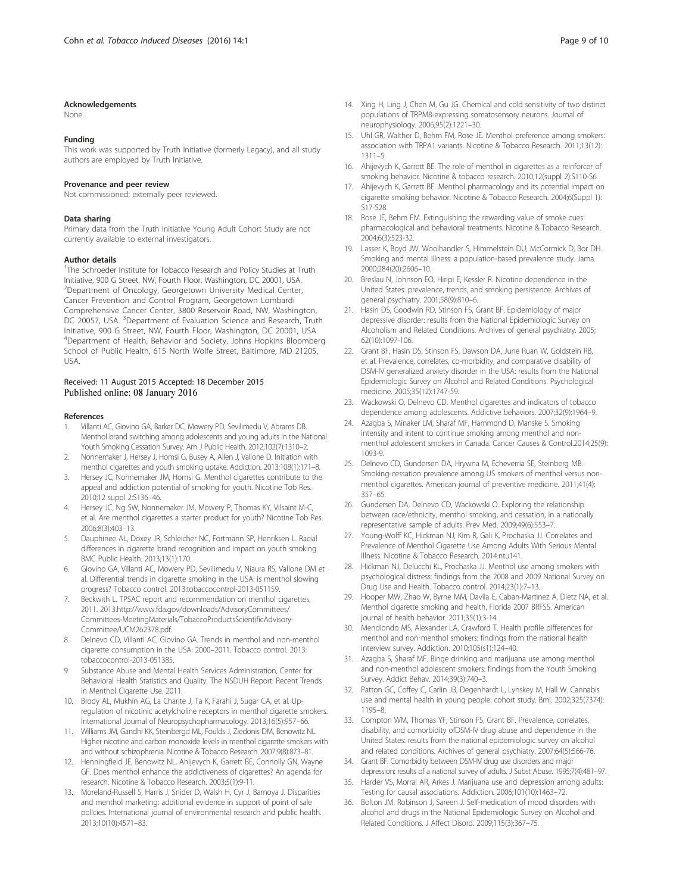#### <span id="page-8-0"></span>Acknowledgements

None.

#### Funding

This work was supported by Truth Initiative (formerly Legacy), and all study authors are employed by Truth Initiative.

## Provenance and peer review

Not commissioned; externally peer reviewed.

#### Data sharing

Primary data from the Truth Initiative Young Adult Cohort Study are not currently available to external investigators.

#### Author details

<sup>1</sup>The Schroeder Institute for Tobacco Research and Policy Studies at Truth Initiative, 900 G Street, NW, Fourth Floor, Washington, DC 20001, USA. 2 Department of Oncology, Georgetown University Medical Center, Cancer Prevention and Control Program, Georgetown Lombardi Comprehensive Cancer Center, 3800 Reservoir Road, NW, Washington, DC 20057, USA. <sup>3</sup>Department of Evaluation Science and Research, Truth Initiative, 900 G Street, NW, Fourth Floor, Washington, DC 20001, USA. 4 Department of Health, Behavior and Society, Johns Hopkins Bloomberg School of Public Health, 615 North Wolfe Street, Baltimore, MD 21205, USA.

## Received: 11 August 2015 Accepted: 18 December 2015 Published online: 08 January 2016

#### References

- 1. Villanti AC, Giovino GA, Barker DC, Mowery PD, Sevilimedu V, Abrams DB. Menthol brand switching among adolescents and young adults in the National Youth Smoking Cessation Survey. Am J Public Health. 2012;102(7):1310–2.
- 2. Nonnemaker J, Hersey J, Homsi G, Busey A, Allen J, Vallone D. Initiation with menthol cigarettes and youth smoking uptake. Addiction. 2013;108(1):171–8.
- 3. Hersey JC, Nonnemaker JM, Homsi G. Menthol cigarettes contribute to the appeal and addiction potential of smoking for youth. Nicotine Tob Res. 2010;12 suppl 2:S136–46.
- 4. Hersey JC, Ng SW, Nonnemaker JM, Mowery P, Thomas KY, Vilsaint M-C, et al. Are menthol cigarettes a starter product for youth? Nicotine Tob Res. 2006;8(3):403–13.
- 5. Dauphinee AL, Doxey JR, Schleicher NC, Fortmann SP, Henriksen L. Racial differences in cigarette brand recognition and impact on youth smoking. BMC Public Health. 2013;13(1):170.
- 6. Giovino GA, Villanti AC, Mowery PD, Sevilimedu V, Niaura RS, Vallone DM et al. Differential trends in cigarette smoking in the USA: is menthol slowing progress? Tobacco control. 2013:tobaccocontrol-2013-051159.
- 7. Beckwith L. TPSAC report and recommendation on menthol cigarettes, 2011. 2013.[http://www.fda.gov/downloads/AdvisoryCommittees/](http://www.fda.gov/downloads/AdvisoryCommittees/Committees-MeetingMaterials/TobaccoProductsScientificAdvisory-Committee/UCM262378.pdf) [Committees-MeetingMaterials/TobaccoProductsScientificAdvisory-](http://www.fda.gov/downloads/AdvisoryCommittees/Committees-MeetingMaterials/TobaccoProductsScientificAdvisory-Committee/UCM262378.pdf)[Committee/UCM262378.pdf](http://www.fda.gov/downloads/AdvisoryCommittees/Committees-MeetingMaterials/TobaccoProductsScientificAdvisory-Committee/UCM262378.pdf).
- 8. Delnevo CD, Villanti AC, Giovino GA. Trends in menthol and non-menthol cigarette consumption in the USA: 2000–2011. Tobacco control. 2013: tobaccocontrol-2013-051385.
- 9. Substance Abuse and Mental Health Services Administration, Center for Behavioral Health Statistics and Quality. The NSDUH Report: Recent Trends in Menthol Cigarette Use. 2011.
- 10. Brody AL, Mukhin AG, La Charite J, Ta K, Farahi J, Sugar CA, et al. Upregulation of nicotinic acetylcholine receptors in menthol cigarette smokers. International Journal of Neuropsychopharmacology. 2013;16(5):957–66.
- 11. Williams JM, Gandhi KK, Steinbergd ML, Foulds J, Ziedonis DM, Benowitz NL. Higher nicotine and carbon monoxide levels in menthol cigarette smokers with and without schizophrenia. Nicotine & Tobacco Research. 2007;9(8):873–81.
- 12. Henningfield JE, Benowitz NL, Ahijevych K, Garrett BE, Connolly GN, Wayne GF. Does menthol enhance the addictiveness of cigarettes? An agenda for research. Nicotine & Tobacco Research. 2003;5(1):9-11.
- 13. Moreland-Russell S, Harris J, Snider D, Walsh H, Cyr J, Barnoya J. Disparities and menthol marketing: additional evidence in support of point of sale policies. International journal of environmental research and public health. 2013;10(10):4571–83.
- 14. Xing H, Ling J, Chen M, Gu JG. Chemical and cold sensitivity of two distinct populations of TRPM8-expressing somatosensory neurons. Journal of neurophysiology. 2006;95(2):1221–30.
- 15. Uhl GR, Walther D, Behm FM, Rose JE. Menthol preference among smokers: association with TRPA1 variants. Nicotine & Tobacco Research. 2011;13(12): 1311–5.
- 16. Ahijevych K, Garrett BE. The role of menthol in cigarettes as a reinforcer of smoking behavior. Nicotine & tobacco research. 2010;12(suppl 2):S110-S6.
- 17. Ahijevych K, Garrett BE. Menthol pharmacology and its potential impact on cigarette smoking behavior. Nicotine & Tobacco Research. 2004;6(Suppl 1): S17-S28.
- 18. Rose JE, Behm FM. Extinguishing the rewarding value of smoke cues: pharmacological and behavioral treatments. Nicotine & Tobacco Research. 2004;6(3):523-32.
- 19. Lasser K, Boyd JW, Woolhandler S, Himmelstein DU, McCormick D, Bor DH. Smoking and mental illness: a population-based prevalence study. Jama. 2000;284(20):2606–10.
- 20. Breslau N, Johnson EO, Hiripi E, Kessler R. Nicotine dependence in the United States: prevalence, trends, and smoking persistence. Archives of general psychiatry. 2001;58(9):810–6.
- 21. Hasin DS, Goodwin RD, Stinson FS, Grant BF. Epidemiology of major depressive disorder: results from the National Epidemiologic Survey on Alcoholism and Related Conditions. Archives of general psychiatry. 2005; 62(10):1097-106.
- 22. Grant BF, Hasin DS, Stinson FS, Dawson DA, June Ruan W, Goldstein RB, et al. Prevalence, correlates, co-morbidity, and comparative disability of DSM-IV generalized anxiety disorder in the USA: results from the National Epidemiologic Survey on Alcohol and Related Conditions. Psychological medicine. 2005;35(12):1747-59.
- 23. Wackowski O, Delnevo CD. Menthol cigarettes and indicators of tobacco dependence among adolescents. Addictive behaviors. 2007;32(9):1964–9.
- 24. Azagba S, Minaker LM, Sharaf MF, Hammond D, Manske S. Smoking intensity and intent to continue smoking among menthol and nonmenthol adolescent smokers in Canada. Cancer Causes & Control.2014;25(9): 1093-9.
- 25. Delnevo CD, Gundersen DA, Hrywna M, Echeverria SE, Steinberg MB. Smoking-cessation prevalence among US smokers of menthol versus nonmenthol cigarettes. American journal of preventive medicine. 2011;41(4): 357–65.
- 26. Gundersen DA, Delnevo CD, Wackowski O. Exploring the relationship between race/ethnicity, menthol smoking, and cessation, in a nationally representative sample of adults. Prev Med. 2009;49(6):553–7.
- Young-Wolff KC, Hickman NJ, Kim R, Gali K, Prochaska JJ. Correlates and Prevalence of Menthol Cigarette Use Among Adults With Serious Mental Illness. Nicotine & Tobacco Research. 2014:ntu141.
- 28. Hickman NJ, Delucchi KL, Prochaska JJ. Menthol use among smokers with psychological distress: findings from the 2008 and 2009 National Survey on Drug Use and Health. Tobacco control. 2014;23(1):7–13.
- 29. Hooper MW, Zhao W, Byrne MM, Davila E, Caban-Martinez A, Dietz NA, et al. Menthol cigarette smoking and health, Florida 2007 BRFSS. American journal of health behavior. 2011;35(1):3-14.
- 30. Mendiondo MS, Alexander LA, Crawford T. Health profile differences for menthol and non‐menthol smokers: findings from the national health interview survey. Addiction. 2010;105(s1):124–40.
- 31. Azagba S, Sharaf MF. Binge drinking and marijuana use among menthol and non-menthol adolescent smokers: findings from the Youth Smoking Survey. Addict Behav. 2014;39(3):740–3.
- 32. Patton GC, Coffey C, Carlin JB, Degenhardt L, Lynskey M, Hall W. Cannabis use and mental health in young people: cohort study. Bmj. 2002;325(7374): 1195–8.
- 33. Compton WM, Thomas YF, Stinson FS, Grant BF. Prevalence, correlates, disability, and comorbidity ofDSM-IV drug abuse and dependence in the United States: results from the national epidemiologic survey on alcohol and related conditions. Archives of general psychiatry. 2007;64(5):566-76.
- 34. Grant BF. Comorbidity between DSM-IV drug use disorders and major depression: results of a national survey of adults. J Subst Abuse. 1995;7(4):481–97.
- 35. Harder VS, Morral AR, Arkes J. Marijuana use and depression among adults: Testing for causal associations. Addiction. 2006;101(10):1463–72.
- 36. Bolton JM, Robinson J, Sareen J. Self-medication of mood disorders with alcohol and drugs in the National Epidemiologic Survey on Alcohol and Related Conditions. J Affect Disord. 2009;115(3):367–75.